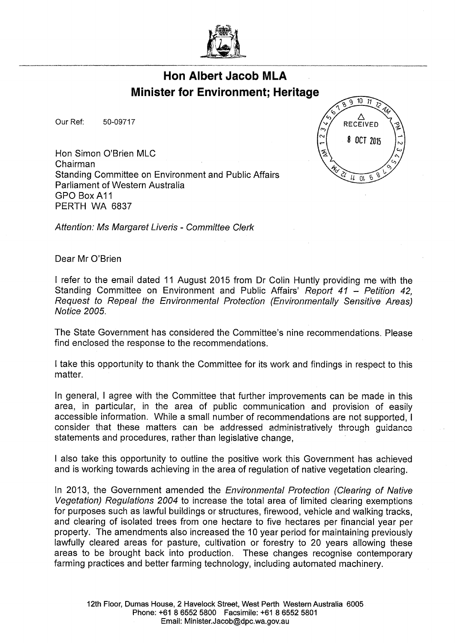

## **Hon Albert Jacob MLA Minister for Environment; Heritage**

50-09717 Our Ref:

Hon Simon O'Brien MLC Chairman Standing Committee on Environment and Public Affairs Parliament of Western Australia GPO Box A11 PERTH WA 6837



Attention: Ms Margaret Liveris - Committee Clerk

Dear Mr O'Brien

I refer to the email dated 11 August 2015 from Dr Colin Huntly providing me with the Standing Committee on Environment and Public Affairs' Report 41 - Petition 42, Request to Repeal the Environmental Protection (Environmentally Sensitive Areas) Notice 2005.

The State Government has considered the Committee's nine recommendations. Please find enclosed the response to the recommendations.

I take this opportunity to thank the Committee for its work and findings in respect to this matter.

In general, I agree with the Committee that further improvements can be made in this area, in particular, in the area of public communication and provision of easily accessible information. While a small number of recommendations are not supported, I consider that these matters can be addressed administratively through guidance statements and procedures, rather than legislative change,

I also take this opportunity to outline the positive work this Government has achieved and is working towards achieving in the area of regulation of native vegetation clearing.

In 2013, the Government amended the Environmental Protection (Clearing of Native Vegetation) Regulations 2004 to increase the total area of limited clearing exemptions for purposes such as lawful buildings or structures, firewood, vehicle and walking tracks, and clearing of isolated trees from one hectare to five hectares per financial year per property. The amendments also increased the 10 year period for maintaining previously lawfully cleared areas for pasture, cultivation or forestry to 20 years allowing these areas to be brought back into production. These changes recognise contemporary farming practices and better farming technology, including automated machinery.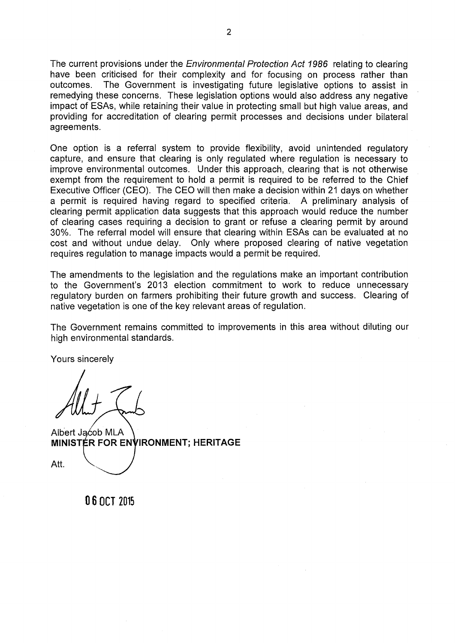The current provisions under the Environmental Protection Act 1986 relating to clearing have been criticised for their complexity and for focusing on process rather than outcomes. The Government is investigating future legislative options to assist in remedying these concerns. These legislation options would also address any negative impact of ESAs, while retaining their value in protecting small but high value areas, and providing for accreditation of clearing permit processes and decisions under bilateral agreements.

One option is a referral system to provide flexibility, avoid unintended regulatory capture, and ensure that clearing is only regulated where regulation is necessary to improve environmental outcomes. Under this approach, clearing that is not otherwise exempt from the requirement to hold a permit is required to be referred to the Chief Executive Officer (CEO). The CEO will then make a decision within 21 days on whether a permit is required having regard to specified criteria. A preliminary analysis of clearing permit application data suggests that this approach would reduce the number of clearing cases requiring a decision to grant or refuse a clearing permit by around 30%. The referral model will ensure that clearing within ESAs can be evaluated at no cost and without undue delay. Only where proposed clearing of native vegetation requires regulation to manage impacts would a permit be required.

The amendments to the legislation and the regulations make an important contribution to the Government's 2013 election commitment to work to reduce unnecessary regulatory burden on farmers prohibiting their future growth and success. Clearing of native vegetation is one of the key relevant areas of regulation.

The Government remains committed to improvements in this area without diluting our high environmental standards.

Yours sincerely

Albert Jacob MLA **MINISTER FOR ENVIRONMENT; HERITAGE**

Att.

06 OCT 2015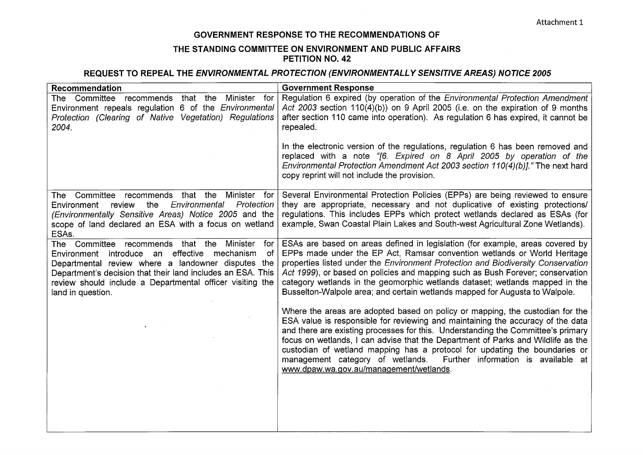## **GOVERNMENT RESPONSE TO THE RECOMMENDATIONS OF**

## **THE STANDING COMMITTEE ON ENVIRONMENT AND PUBLIC AFFAIRS PETITION NO. 42**

## **REQUEST TO REPEAL THE ENVIRONMENTAL PROTECTION (ENVIRONMENTALLY SENSITIVE AREAS) NOTICE 2005**

| Recommendation                                                                                                                                                                                                                                                                                                 | <b>Government Response</b>                                                                                                                                                                                                                                                                                                                                                                                                                                                                                                                |
|----------------------------------------------------------------------------------------------------------------------------------------------------------------------------------------------------------------------------------------------------------------------------------------------------------------|-------------------------------------------------------------------------------------------------------------------------------------------------------------------------------------------------------------------------------------------------------------------------------------------------------------------------------------------------------------------------------------------------------------------------------------------------------------------------------------------------------------------------------------------|
| The Committee recommends that the<br>Minister for<br>Environment repeals regulation 6 of the <i>Environmental</i><br>Protection (Clearing of Native Vegetation) Regulations<br>2004.                                                                                                                           | Regulation 6 expired (by operation of the Environmental Protection Amendment<br>Act 2003 section 110(4)(b)) on 9 April 2005 (i.e. on the expiration of 9 months<br>after section 110 came into operation). As regulation 6 has expired, it cannot be<br>repealed.                                                                                                                                                                                                                                                                         |
|                                                                                                                                                                                                                                                                                                                | In the electronic version of the regulations, regulation 6 has been removed and<br>replaced with a note "[6. Expired on 8 April 2005 by operation of the<br>Environmental Protection Amendment Act 2003 section 110(4)(b)]." The next hard<br>copy reprint will not include the provision.                                                                                                                                                                                                                                                |
| The Committee recommends that the<br>Minister for<br>the<br>Environmental<br>Protection<br>Environment<br>review<br>(Environmentally Sensitive Areas) Notice 2005 and the<br>scope of land declared an ESA with a focus on wetland<br>ESAs.                                                                    | Several Environmental Protection Policies (EPPs) are being reviewed to ensure<br>they are appropriate, necessary and not duplicative of existing protections/<br>regulations. This includes EPPs which protect wetlands declared as ESAs (for<br>example, Swan Coastal Plain Lakes and South-west Agricultural Zone Wetlands).                                                                                                                                                                                                            |
| The Committee recommends that the Minister<br>for<br>Environment introduce an effective mechanism<br>of<br>Departmental review where a landowner disputes the<br>Department's decision that their land includes an ESA. This<br>review should include a Departmental officer visiting the<br>land in question. | ESAs are based on areas defined in legislation (for example, areas covered by<br>EPPs made under the EP Act, Ramsar convention wetlands or World Heritage<br>properties listed under the Environment Protection and Biodiversity Conservation<br>Act 1999), or based on policies and mapping such as Bush Forever; conservation<br>category wetlands in the geomorphic wetlands dataset; wetlands mapped in the<br>Busselton-Walpole area; and certain wetlands mapped for Augusta to Walpole.                                            |
|                                                                                                                                                                                                                                                                                                                | Where the areas are adopted based on policy or mapping, the custodian for the<br>ESA value is responsible for reviewing and maintaining the accuracy of the data<br>and there are existing processes for this. Understanding the Committee's primary<br>focus on wetlands, I can advise that the Department of Parks and Wildlife as the<br>custodian of wetland mapping has a protocol for updating the boundaries or<br>management category of wetlands. Further information is available at<br>www.dpaw.wa.gov.au/management/wetlands. |
|                                                                                                                                                                                                                                                                                                                |                                                                                                                                                                                                                                                                                                                                                                                                                                                                                                                                           |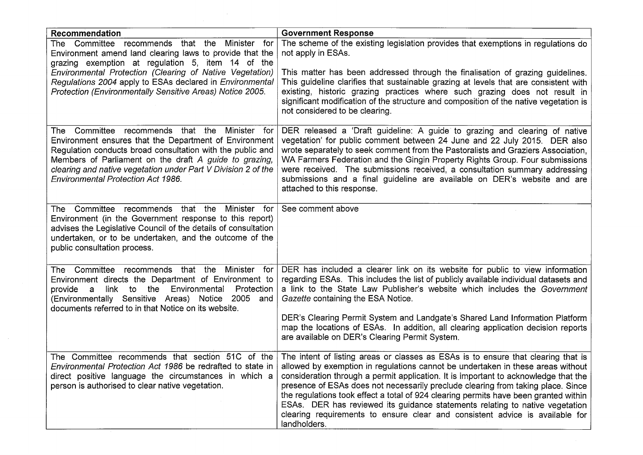| Recommendation                                                                                                                                                                                                                                                                                                                                 | <b>Government Response</b>                                                                                                                                                                                                                                                                                                                                                                                                                                                                                                                                                                                              |
|------------------------------------------------------------------------------------------------------------------------------------------------------------------------------------------------------------------------------------------------------------------------------------------------------------------------------------------------|-------------------------------------------------------------------------------------------------------------------------------------------------------------------------------------------------------------------------------------------------------------------------------------------------------------------------------------------------------------------------------------------------------------------------------------------------------------------------------------------------------------------------------------------------------------------------------------------------------------------------|
| The Committee recommends that the Minister for<br>Environment amend land clearing laws to provide that the<br>grazing exemption at regulation 5, item 14 of the<br>Environmental Protection (Clearing of Native Vegetation)                                                                                                                    | The scheme of the existing legislation provides that exemptions in regulations do<br>not apply in ESAs.<br>This matter has been addressed through the finalisation of grazing guidelines.                                                                                                                                                                                                                                                                                                                                                                                                                               |
| Regulations 2004 apply to ESAs declared in Environmental<br>Protection (Environmentally Sensitive Areas) Notice 2005.                                                                                                                                                                                                                          | This guideline clarifies that sustainable grazing at levels that are consistent with<br>existing, historic grazing practices where such grazing does not result in<br>significant modification of the structure and composition of the native vegetation is<br>not considered to be clearing.                                                                                                                                                                                                                                                                                                                           |
| The Committee recommends that the Minister for<br>Environment ensures that the Department of Environment<br>Regulation conducts broad consultation with the public and<br>Members of Parliament on the draft A guide to grazing,<br>clearing and native vegetation under Part V Division 2 of the<br><b>Environmental Protection Act 1986.</b> | DER released a 'Draft guideline: A guide to grazing and clearing of native<br>vegetation' for public comment between 24 June and 22 July 2015. DER also<br>wrote separately to seek comment from the Pastoralists and Graziers Association,<br>WA Farmers Federation and the Gingin Property Rights Group. Four submissions<br>were received. The submissions received, a consultation summary addressing<br>submissions and a final guideline are available on DER's website and are<br>attached to this response.                                                                                                     |
| The Committee recommends that the Minister for<br>Environment (in the Government response to this report)<br>advises the Legislative Council of the details of consultation<br>undertaken, or to be undertaken, and the outcome of the<br>public consultation process.                                                                         | See comment above                                                                                                                                                                                                                                                                                                                                                                                                                                                                                                                                                                                                       |
| The Committee recommends that the Minister for<br>Environment directs the Department of Environment to<br>link<br>to the<br>Environmental<br>Protection<br>a<br>provide<br>(Environmentally Sensitive Areas) Notice 2005 and<br>documents referred to in that Notice on its website.                                                           | DER has included a clearer link on its website for public to view information<br>regarding ESAs. This includes the list of publicly available individual datasets and<br>a link to the State Law Publisher's website which includes the Government<br>Gazette containing the ESA Notice.                                                                                                                                                                                                                                                                                                                                |
|                                                                                                                                                                                                                                                                                                                                                | DER's Clearing Permit System and Landgate's Shared Land Information Platform<br>map the locations of ESAs. In addition, all clearing application decision reports<br>are available on DER's Clearing Permit System.                                                                                                                                                                                                                                                                                                                                                                                                     |
| The Committee recommends that section 51C of the<br>Environmental Protection Act 1986 be redrafted to state in<br>direct positive language the circumstances in which a<br>person is authorised to clear native vegetation.                                                                                                                    | The intent of listing areas or classes as ESAs is to ensure that clearing that is<br>allowed by exemption in regulations cannot be undertaken in these areas without<br>consideration through a permit application. It is important to acknowledge that the<br>presence of ESAs does not necessarily preclude clearing from taking place. Since<br>the regulations took effect a total of 924 clearing permits have been granted within<br>ESAs. DER has reviewed its guidance statements relating to native vegetation<br>clearing requirements to ensure clear and consistent advice is available for<br>landholders. |